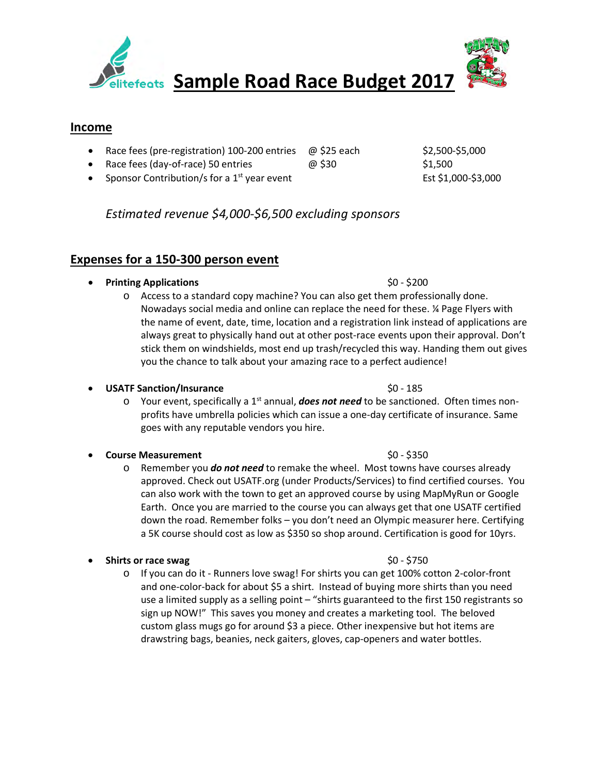

# **Income**

- Race fees (pre-registration) 100-200 entries @ \$25 each \$2,500-\$5,000
- Race fees (day-of-race) 50 entries  $\qquad \qquad \textcircled{2}$  \$30  $\qquad \qquad$  \$1,500
- Sponsor Contribution/s for a  $1^{st}$  year event Est \$1,000-\$3,000

*Estimated revenue \$4,000-\$6,500 excluding sponsors* 

# **Expenses for a 150-300 person event**

- **Printing Applications**  $\left\{0 \frac{1}{2} \right\}$ 
	- o Access to a standard copy machine? You can also get them professionally done. Nowadays social media and online can replace the need for these. ¼ Page Flyers with the name of event, date, time, location and a registration link instead of applications are always great to physically hand out at other post-race events upon their approval. Don't stick them on windshields, most end up trash/recycled this way. Handing them out gives you the chance to talk about your amazing race to a perfect audience!
- **USATF Sanction/Insurance** \$0 185
	- o Your event, specifically a 1<sup>st</sup> annual, **does not need** to be sanctioned. Often times nonprofits have umbrella policies which can issue a one-day certificate of insurance. Same goes with any reputable vendors you hire.

## **Course Measurement**  $\angle$  \$0 - \$350

o Remember you *do not need* to remake the wheel. Most towns have courses already approved. Check out USATF.org (under Products/Services) to find certified courses. You can also work with the town to get an approved course by using MapMyRun or Google Earth. Once you are married to the course you can always get that one USATF certified down the road. Remember folks – you don't need an Olympic measurer here. Certifying a 5K course should cost as low as \$350 so shop around. Certification is good for 10yrs.

## **Shirts or race swag**  $\angle$  \$0 - \$750

o If you can do it - Runners love swag! For shirts you can get 100% cotton 2-color-front and one-color-back for about \$5 a shirt. Instead of buying more shirts than you need use a limited supply as a selling point – "shirts guaranteed to the first 150 registrants so sign up NOW!" This saves you money and creates a marketing tool. The beloved custom glass mugs go for around \$3 a piece. Other inexpensive but hot items are drawstring bags, beanies, neck gaiters, gloves, cap-openers and water bottles.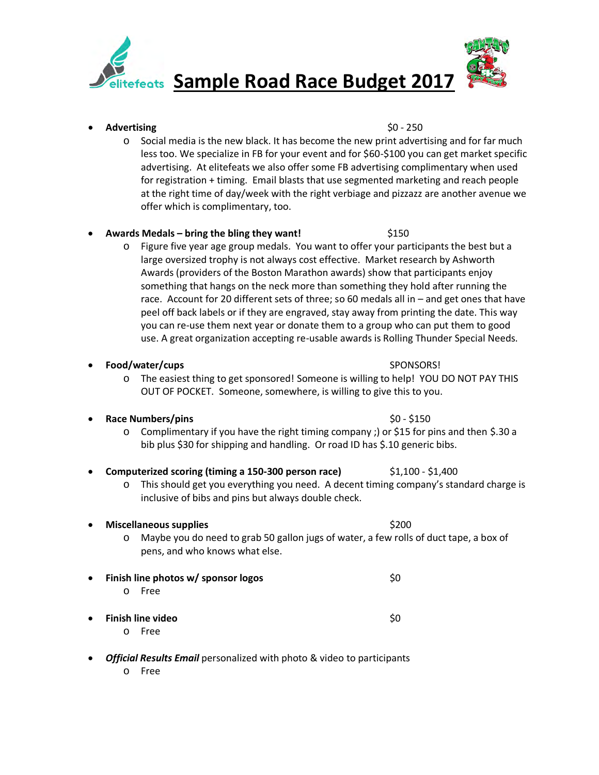

# **Elitefeats** Sample Road Race Budget 2017



### **Advertising 30 - 250**  $\frac{1}{20}$  **- 250**  $\frac{1}{20}$

 $\circ$  Social media is the new black. It has become the new print advertising and for far much less too. We specialize in FB for your event and for \$60-\$100 you can get market specific advertising. At elitefeats we also offer some FB advertising complimentary when used for registration + timing. Email blasts that use segmented marketing and reach people at the right time of day/week with the right verbiage and pizzazz are another avenue we offer which is complimentary, too.

## **Awards Medals – bring the bling they want!** \$150

o Figure five year age group medals. You want to offer your participants the best but a large oversized trophy is not always cost effective. Market research by Ashworth Awards (providers of the Boston Marathon awards) show that participants enjoy something that hangs on the neck more than something they hold after running the race. Account for 20 different sets of three; so 60 medals all in – and get ones that have peel off back labels or if they are engraved, stay away from printing the date. This way you can re-use them next year or donate them to a group who can put them to good use. A great organization accepting re-usable awards is Rolling Thunder Special Needs.

## **Food/water/cups** SPONSORS!

o The easiest thing to get sponsored! Someone is willing to help! YOU DO NOT PAY THIS OUT OF POCKET. Someone, somewhere, is willing to give this to you.

## **Race Numbers/pins**  $\angle$  \$0 - \$150

o Complimentary if you have the right timing company ;) or \$15 for pins and then \$.30 a bib plus \$30 for shipping and handling. Or road ID has \$.10 generic bibs.

# **Computerized scoring (timing a 150-300 person race)** \$1,100 - \$1,400

o This should get you everything you need. A decent timing company's standard charge is inclusive of bibs and pins but always double check.

## **Miscellaneous supplies**  $\frac{1}{200}$

- o Maybe you do need to grab 50 gallon jugs of water, a few rolls of duct tape, a box of pens, and who knows what else.
- **Finish line photos w/ sponsor logos**  $\&$  **50**

### o Free

- **Finish line video**  $\angle$  50 o Free
- *Official Results Email* personalized with photo & video to participants
	- o Free